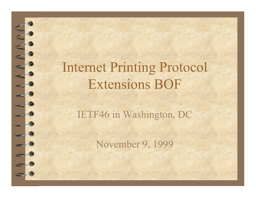### Internet Printing Protocol Extensions BOF

自

T

#### IETF46 in Washington, DC

November 9, 1999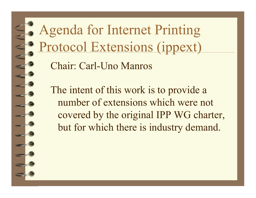Agenda for Internet Printing Protocol Extensions (ippext)

Chair: Carl-Uno Manros

The intent of this work is to provide a number of extensions which were not covered by the original IPP WG charter, but for which there is industry demand.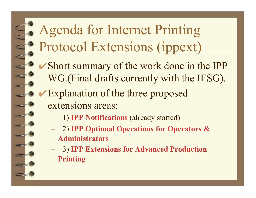## Agenda for Internet Printing Protocol Extensions (ippext)

- ✔Short summary of the work done in the IPP WG.(Final drafts currently with the IESG).
- **►Explanation of the three proposed** extensions areas:
	- 1) **IPP Notifications** (already started)
	- 2) **IPP Optional Operations for Operators & Administrators**
	- 3) **IPP Extensions for Advanced Production Printing**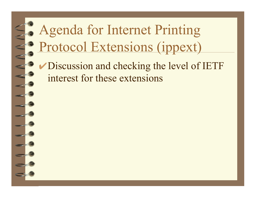# Agenda for Internet Printing Protocol Extensions (ippext)

✔Discussion and checking the level of IETF interest for these extensions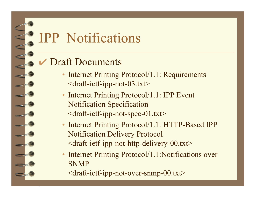### IPP Notifications

#### **Draft Documents**

- Internet Printing Protocol/1.1: Requirements <draft-ietf-ipp-not-03.txt>
- Internet Printing Protocol/1.1: IPP Event Notification Specification <draft-ietf-ipp-not-spec-01.txt>
- Internet Printing Protocol/1.1: HTTP-Based IPP Notification Delivery Protocol  $\alpha$  -draft-ietf-ipp-not-http-delivery-00.txt>
- Internet Printing Protocol/1.1:Notifications over SNMP
	- <draft-ietf-ipp-not-over-snmp-00.txt>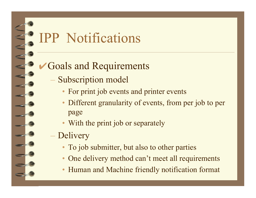### IPP Notifications

#### Goals and Requirements

- Subscription model
	- For print job events and printer events
	- Different granularity of events, from per job to per page
	- With the print job or separately
- Delivery
	- To job submitter, but also to other parties
	- One delivery method can't meet all requirements
	- •Human and Machine friendly notification format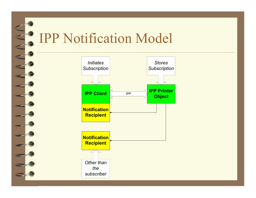### IPP Notification Model

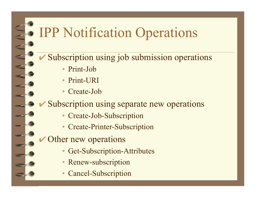### IPP Notification Operations

- Subscription using job submission operations
	- Print-Job
	- •Print-URI
	- •Create-Job

**► Subscription using separate new operations** 

- •Create-Job-Subscription
- •Create-Printer-Subscription
- Other new operations
	- •Get-Subscription-Attributes
	- •Renew-subscription
	- •Cancel-Subscription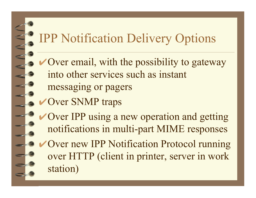#### IPP Notification Delivery Options

- $\vee$  Over email, with the possibility to gateway into other services such as instant messaging or pagers
- **✔Over SNMP traps**
- **► Over IPP using a new operation and getting** notifications in multi-part MIME responses
- ✔Over new IPP Notification Protocol running over HTTP (client in printer, server in work station)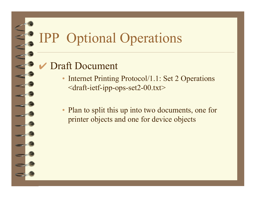## IPP Optional Operations

#### Draft Document

- • Internet Printing Protocol/1.1: Set 2 Operations <draft-ietf-ipp-ops-set2-00.txt>
- Plan to split this up into two documents, one for printer objects and one for device objects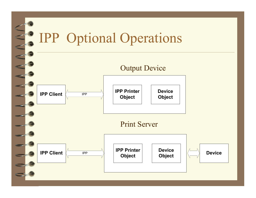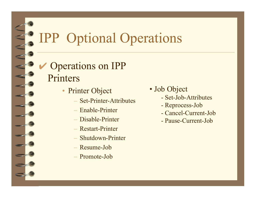# IPP Optional Operations

#### Operations on IPP Printers

- Printer Object
	- Set-Printer-Attributes
	- Enable-Printer
	- Disable-Printer
	- Restart-Printer
	- Shutdown-Printer
	- Resume-Job
	- Promote-Job
- Job Object
	- Set-Job-Attributes
	- Reprocess-Job
	- Cancel-Current-Job
	- Pause-Current-Job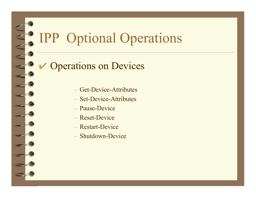# IPP Optional Operations

#### **Operations on Devices**

- Get-Device-Attributes
- Set-Device-Attributes
- Pause-Device
- Reset-Device
- Restart-Device
- Shutdown-Device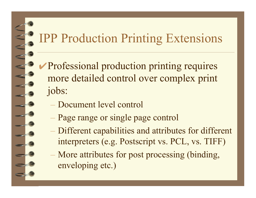#### IPP Production Printing Extensions

- ✔Professional production printing requires more detailed control over complex print jobs:
	- Document level control
	- Page range or single page control
	- Different capabilities and attributes for different interpreters (e.g. Postscript vs. PCL, vs. TIFF)
	- More attributes for post processing (binding, enveloping etc.)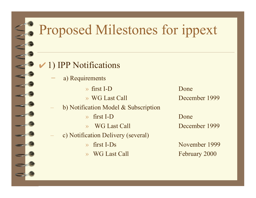# Proposed Milestones for ippext

#### $\vee$  1) IPP Notifications

- a) Requirements
	- » first I-D Done
	-
- b) Notification Model & Subscription
	- » first I-D Done
	- » WG Last Call December 1999
- c) Notification Delivery (several)
	-
	-

» WG Last Call December 1999

» first I-Ds November 1999 WG Last Call February 2000